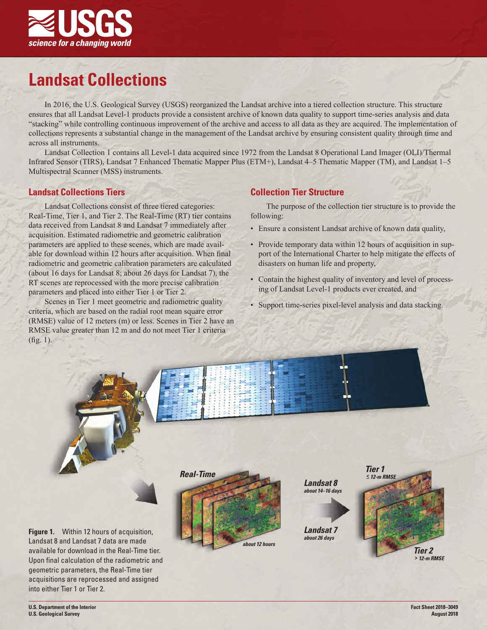

# **Landsat Collections**

In 2016, the U.S. Geological Survey (USGS) reorganized the Landsat archive into a tiered collection structure. This structure ensures that all Landsat Level-1 products provide a consistent archive of known data quality to support time-series analysis and data "stacking" while controlling continuous improvement of the archive and access to all data as they are acquired. The implementation of collections represents a substantial change in the management of the Landsat archive by ensuring consistent quality through time and across all instruments.

Landsat Collection 1 contains all Level-1 data acquired since 1972 from the Landsat 8 Operational Land Imager (OLI)/Thermal Infrared Sensor (TIRS), Landsat 7 Enhanced Thematic Mapper Plus (ETM+), Landsat 4–5 Thematic Mapper (TM), and Landsat 1–5 Multispectral Scanner (MSS) instruments.

## **Landsat Collections Tiers**

Landsat Collections consist of three tiered categories: Real-Time, Tier 1, and Tier 2. The Real-Time (RT) tier contains data received from Landsat 8 and Landsat 7 immediately after acquisition. Estimated radiometric and geometric calibration parameters are applied to these scenes, which are made available for download within 12 hours after acquisition. When final radiometric and geometric calibration parameters are calculated (about 16 days for Landsat 8; about 26 days for Landsat 7), the RT scenes are reprocessed with the more precise calibration parameters and placed into either Tier 1 or Tier 2.

Scenes in Tier 1 meet geometric and radiometric quality criteria, which are based on the radial root mean square error (RMSE) value of 12 meters (m) or less. Scenes in Tier 2 have an RMSE value greater than 12 m and do not meet Tier 1 criteria (fig. 1).

## **Collection Tier Structure**

The purpose of the collection tier structure is to provide the following:

- Ensure a consistent Landsat archive of known data quality,
- Provide temporary data within 12 hours of acquisition in support of the International Charter to help mitigate the effects of disasters on human life and property,
- Contain the highest quality of inventory and level of processing of Landsat Level-1 products ever created, and
- Support time-series pixel-level analysis and data stacking.



**Figure 1.** Within 12 hours of acquisition, Landsat 8 and Landsat 7 data are made available for download in the Real-Time tier. Upon final calculation of the radiometric and geometric parameters, the Real-Time tier acquisitions are reprocessed and assigned into either Tier 1 or Tier 2.





**Fact Sheet 2018–3049 August 2018**